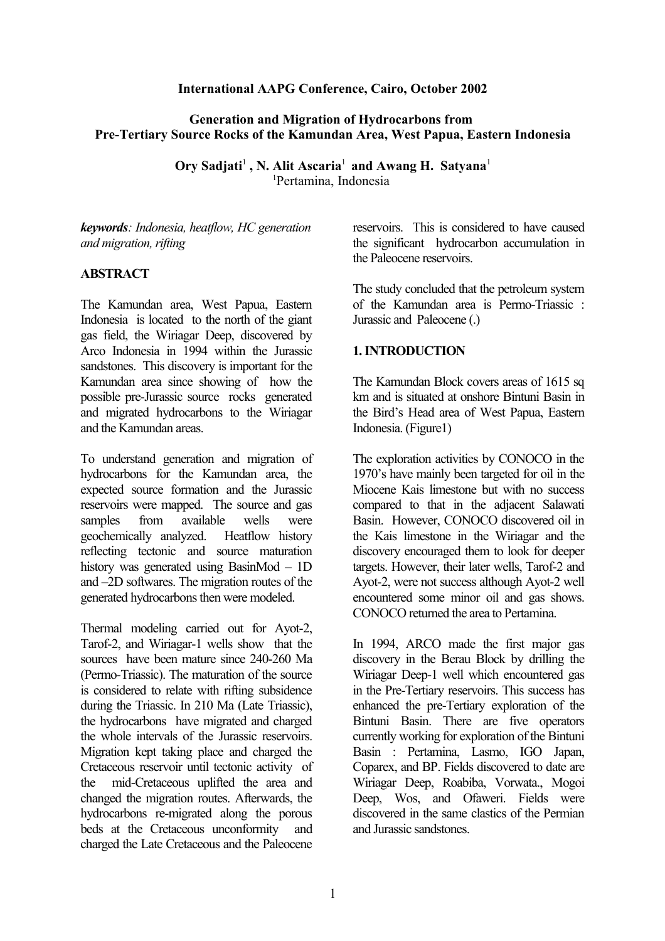#### **International AAPG Conference, Cairo, October 2002**

## **Generation and Migration of Hydrocarbons from Pre-Tertiary Source Rocks of the Kamundan Area, West Papua, Eastern Indonesia**

**Ory Sadjati<sup>1</sup>, N. Alit Ascaria<sup>1</sup> and Awang H. Satyana<sup>1</sup>** <sup>1</sup>Pertamina, Indonesia

*keywords: Indonesia, heatflow, HC generation and migration, rifting* 

### **ABSTRACT**

The Kamundan area, West Papua, Eastern Indonesia is located to the north of the giant gas field, the Wiriagar Deep, discovered by Arco Indonesia in 1994 within the Jurassic sandstones. This discovery is important for the Kamundan area since showing of how the possible pre-Jurassic source rocks generated and migrated hydrocarbons to the Wiriagar and the Kamundan areas.

To understand generation and migration of hydrocarbons for the Kamundan area, the expected source formation and the Jurassic reservoirs were mapped. The source and gas samples from available wells were geochemically analyzed. Heatflow history reflecting tectonic and source maturation history was generated using BasinMod – 1D and –2D softwares. The migration routes of the generated hydrocarbons then were modeled.

Thermal modeling carried out for Ayot-2, Tarof-2, and Wiriagar-1 wells show that the sources have been mature since 240-260 Ma (Permo-Triassic). The maturation of the source is considered to relate with rifting subsidence during the Triassic. In 210 Ma (Late Triassic), the hydrocarbons have migrated and charged the whole intervals of the Jurassic reservoirs. Migration kept taking place and charged the Cretaceous reservoir until tectonic activity of the mid-Cretaceous uplifted the area and changed the migration routes. Afterwards, the hydrocarbons re-migrated along the porous beds at the Cretaceous unconformity and charged the Late Cretaceous and the Paleocene

reservoirs. This is considered to have caused the significant hydrocarbon accumulation in the Paleocene reservoirs.

The study concluded that the petroleum system of the Kamundan area is Permo-Triassic : Jurassic and Paleocene (.)

### **1.INTRODUCTION**

The Kamundan Block covers areas of 1615 sq km and is situated at onshore Bintuni Basin in the Bird's Head area of West Papua, Eastern Indonesia. (Figure1)

The exploration activities by CONOCO in the 1970's have mainly been targeted for oil in the Miocene Kais limestone but with no success compared to that in the adjacent Salawati Basin. However, CONOCO discovered oil in the Kais limestone in the Wiriagar and the discovery encouraged them to look for deeper targets. However, their later wells, Tarof-2 and Ayot-2, were not success although Ayot-2 well encountered some minor oil and gas shows. CONOCO returned the area to Pertamina.

In 1994, ARCO made the first major gas discovery in the Berau Block by drilling the Wiriagar Deep-1 well which encountered gas in the Pre-Tertiary reservoirs. This success has enhanced the pre-Tertiary exploration of the Bintuni Basin. There are five operators currently working for exploration of the Bintuni Basin : Pertamina, Lasmo, IGO Japan, Coparex, and BP. Fields discovered to date are Wiriagar Deep, Roabiba, Vorwata., Mogoi Deep, Wos, and Ofaweri. Fields were discovered in the same clastics of the Permian and Jurassic sandstones.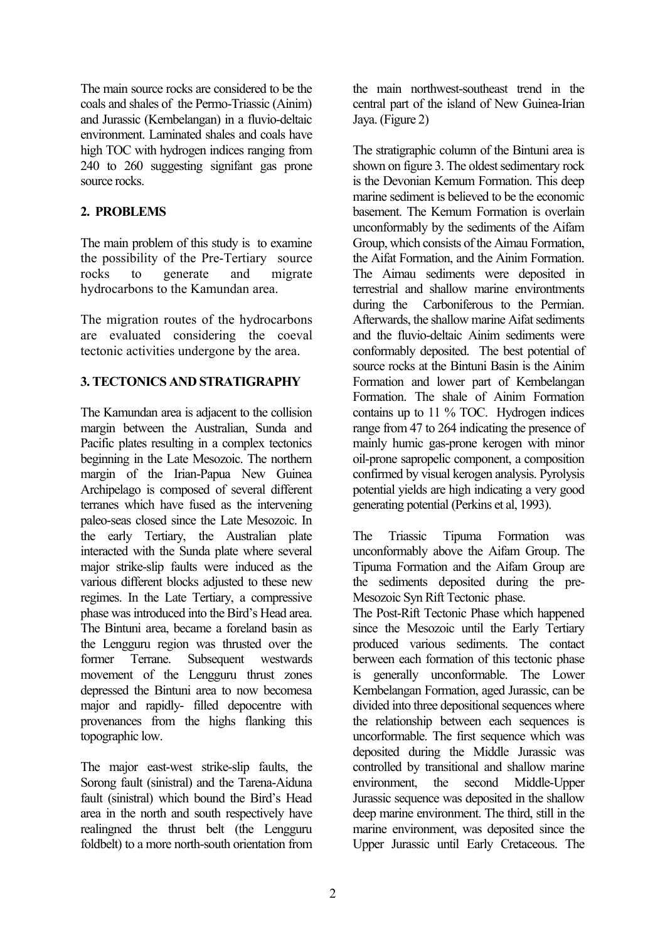The main source rocks are considered to be the coals and shales of the Permo-Triassic (Ainim) and Jurassic (Kembelangan) in a fluvio-deltaic environment. Laminated shales and coals have high TOC with hydrogen indices ranging from 240 to 260 suggesting signifant gas prone source rocks.

## **2. PROBLEMS**

The main problem of this study is to examine the possibility of the Pre-Tertiary source rocks to generate and migrate hydrocarbons to the Kamundan area.

The migration routes of the hydrocarbons are evaluated considering the coeval tectonic activities undergone by the area.

## **3. TECTONICS AND STRATIGRAPHY**

The Kamundan area is adjacent to the collision margin between the Australian, Sunda and Pacific plates resulting in a complex tectonics beginning in the Late Mesozoic. The northern margin of the Irian-Papua New Guinea Archipelago is composed of several different terranes which have fused as the intervening paleo-seas closed since the Late Mesozoic. In the early Tertiary, the Australian plate interacted with the Sunda plate where several major strike-slip faults were induced as the various different blocks adjusted to these new regimes. In the Late Tertiary, a compressive phase wasintroduced into the Bird's Head area. The Bintuni area, became a foreland basin as the Lengguru region was thrusted over the former Terrane. Subsequent westwards movement of the Lengguru thrust zones depressed the Bintuni area to now becomesa major and rapidly- filled depocentre with provenances from the highs flanking this topographic low.

The major east-west strike-slip faults, the Sorong fault (sinistral) and the Tarena-Aiduna fault (sinistral) which bound the Bird's Head area in the north and south respectively have realingned the thrust belt (the Lengguru foldbelt) to a more north-south orientation from the main northwest-southeast trend in the central part of the island of New Guinea-Irian Jaya. (Figure 2)

The stratigraphic column of the Bintuni area is shown on figure 3. The oldest sedimentary rock is the Devonian Kemum Formation. This deep marine sediment is believed to be the economic basement. The Kemum Formation is overlain unconformably by the sediments of the Aifam Group, which consists of the Aimau Formation, the Aifat Formation, and the Ainim Formation. The Aimau sediments were deposited in terrestrial and shallow marine environtments during the Carboniferous to the Permian. Afterwards, the shallow marine Aifat sediments and the fluvio-deltaic Ainim sediments were conformably deposited. The best potential of source rocks at the Bintuni Basin is the Ainim Formation and lower part of Kembelangan Formation. The shale of Ainim Formation contains up to 11 % TOC. Hydrogen indices range from 47 to 264 indicating the presence of mainly humic gas-prone kerogen with minor oil-prone sapropelic component, a composition confirmed by visual kerogen analysis. Pyrolysis potential yields are high indicating a very good generating potential (Perkins et al, 1993).

The Triassic Tipuma Formation was unconformably above the Aifam Group. The Tipuma Formation and the Aifam Group are the sediments deposited during the pre-Mesozoic Syn Rift Tectonic phase.

The Post-Rift Tectonic Phase which happened since the Mesozoic until the Early Tertiary produced various sediments. The contact berween each formation of this tectonic phase is generally unconformable. The Lower Kembelangan Formation, aged Jurassic, can be divided into three depositional sequences where the relationship between each sequences is uncorformable. The first sequence which was deposited during the Middle Jurassic was controlled by transitional and shallow marine environment, the second Middle-Upper Jurassic sequence was deposited in the shallow deep marine environment. The third, still in the marine environment, was deposited since the Upper Jurassic until Early Cretaceous. The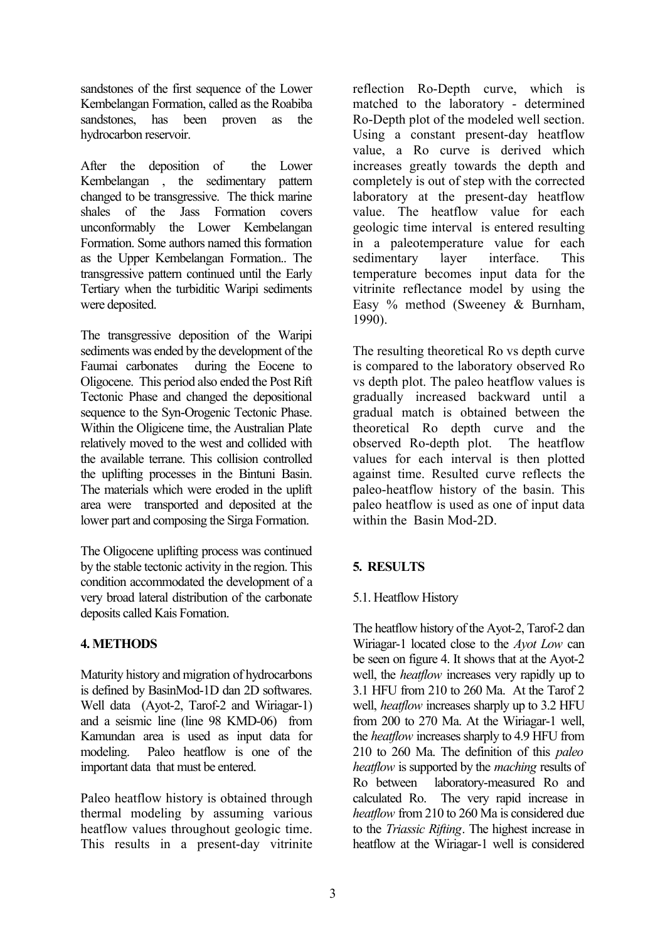sandstones of the first sequence of the Lower Kembelangan Formation, called as the Roabiba sandstones, has been proven as the hydrocarbon reservoir.

After the deposition of the Lower Kembelangan , the sedimentary pattern changed to be transgressive. The thick marine shales of the Jass Formation covers unconformably the Lower Kembelangan Formation. Some authors named this formation as the Upper Kembelangan Formation.. The transgressive pattern continued until the Early Tertiary when the turbiditic Waripi sediments were deposited.

The transgressive deposition of the Waripi sediments was ended by the development of the Faumai carbonates during the Eocene to Oligocene. This period also ended the Post Rift Tectonic Phase and changed the depositional sequence to the Syn-Orogenic Tectonic Phase. Within the Oligicene time, the Australian Plate relatively moved to the west and collided with the available terrane. This collision controlled the uplifting processes in the Bintuni Basin. The materials which were eroded in the uplift area were transported and deposited at the lower part and composing the Sirga Formation.

The Oligocene uplifting process was continued by the stable tectonic activity in the region. This condition accommodated the development of a very broad lateral distribution of the carbonate deposits called Kais Fomation.

## **4. METHODS**

Maturity history and migration of hydrocarbons is defined by BasinMod-1D dan 2D softwares. Well data (Ayot-2, Tarof-2 and Wiriagar-1) and a seismic line (line 98 KMD-06) from Kamundan area is used as input data for modeling. Paleo heatflow is one of the important data that must be entered.

Paleo heatflow history is obtained through thermal modeling by assuming various heatflow values throughout geologic time. This results in a present-day vitrinite reflection Ro-Depth curve, which is matched to the laboratory - determined Ro-Depth plot of the modeled well section. Using a constant present-day heatflow value, a Ro curve is derived which increases greatly towards the depth and completely is out of step with the corrected laboratory at the present-day heatflow value. The heatflow value for each geologic time interval is entered resulting in a paleotemperature value for each sedimentary layer interface. This temperature becomes input data for the vitrinite reflectance model by using the Easy % method (Sweeney & Burnham, 1990).

The resulting theoretical Ro vs depth curve is compared to the laboratory observed Ro vs depth plot. The paleo heatflow values is gradually increased backward until a gradual match is obtained between the theoretical Ro depth curve and the observed Ro-depth plot. The heatflow values for each interval is then plotted against time. Resulted curve reflects the paleo-heatflow history of the basin. This paleo heatflow is used as one of input data within the Basin Mod-2D.

## **5. RESULTS**

## 5.1. Heatflow History

The heatflow history of the Ayot-2, Tarof-2 dan Wiriagar-1 located close to the *Ayot Low* can be seen on figure 4. It shows that at the Ayot-2 well, the *heatflow* increases very rapidly up to 3.1 HFU from 210 to 260 Ma. At the Tarof 2 well, *heatflow* increases sharply up to 3.2 HFU from 200 to 270 Ma. At the Wiriagar-1 well, the *heatflow* increases sharply to 4.9 HFU from 210 to 260 Ma. The definition of this *paleo heatflow* is supported by the *maching* results of Ro between laboratory-measured Ro and calculated Ro. The very rapid increase in *heatflow* from 210 to 260 Ma is considered due to the *Triassic Rifting*. The highest increase in heatflow at the Wiriagar-1 well is considered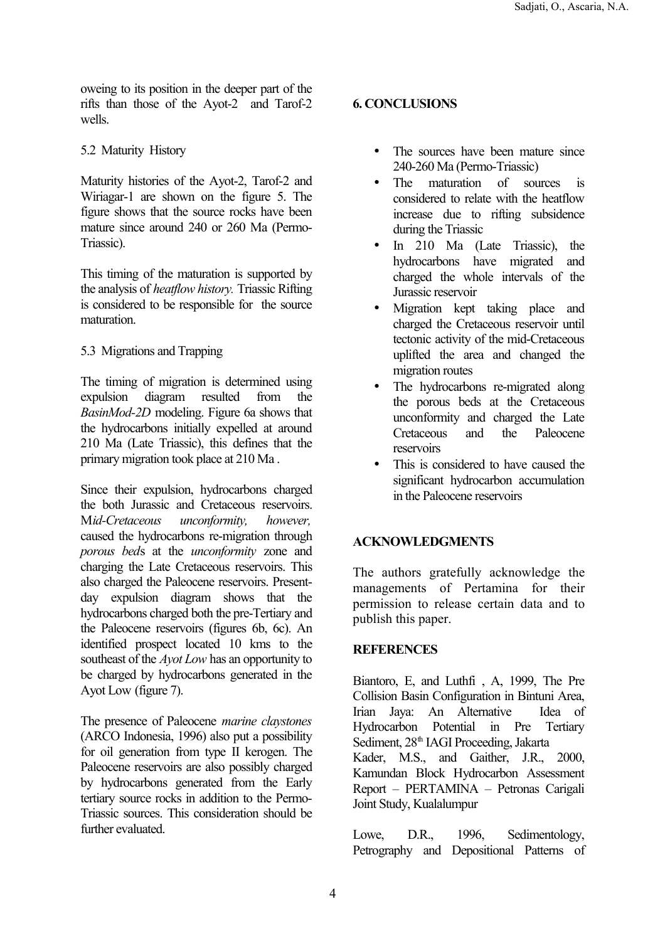oweing to its position in the deeper part of the rifts than those of the Ayot-2 and Tarof-2 wells.

# 5.2 Maturity History

Maturity histories of the Ayot-2, Tarof-2 and Wiriagar-1 are shown on the figure 5. The figure shows that the source rocks have been mature since around 240 or 260 Ma (Permo-Triassic).

This timing of the maturation is supported by the analysis of *heatflow history.* Triassic Rifting is considered to be responsible for the source maturation.

# 5.3 Migrations and Trapping

The timing of migration is determined using expulsion diagram resulted from the *BasinMod-2D* modeling. Figure 6a shows that the hydrocarbons initially expelled at around 210 Ma (Late Triassic), this defines that the primary migration took place at 210 Ma .

Since their expulsion, hydrocarbons charged the both Jurassic and Cretaceous reservoirs. M*id-Cretaceous unconformity, however,* caused the hydrocarbons re-migration through *porous bed*s at the *unconformity* zone and charging the Late Cretaceous reservoirs. This also charged the Paleocene reservoirs. Presentday expulsion diagram shows that the hydrocarbons charged both the pre-Tertiary and the Paleocene reservoirs (figures 6b, 6c). An identified prospect located 10 kms to the southeast of the *Ayot Low* has an opportunity to be charged by hydrocarbons generated in the Ayot Low (figure 7).

The presence of Paleocene *marine claystones* (ARCO Indonesia, 1996) also put a possibility for oil generation from type II kerogen. The Paleocene reservoirs are also possibly charged by hydrocarbons generated from the Early tertiary source rocks in addition to the Permo-Triassic sources. This consideration should be further evaluated.

# **6. CONCLUSIONS**

- The sources have been mature since 240-260 Ma (Permo-Triassic)
- The maturation of sources is considered to relate with the heatflow increase due to rifting subsidence during the Triassic
- In 210 Ma (Late Triassic), the hydrocarbons have migrated and charged the whole intervals of the Jurassic reservoir
- Migration kept taking place and charged the Cretaceous reservoir until tectonic activity of the mid-Cretaceous uplifted the area and changed the migration routes
- The hydrocarbons re-migrated along the porous beds at the Cretaceous unconformity and charged the Late Cretaceous and the Paleocene reservoirs
- This is considered to have caused the significant hydrocarbon accumulation in the Paleocene reservoirs

# **ACKNOWLEDGMENTS**

The authors gratefully acknowledge the managements of Pertamina for their permission to release certain data and to publish this paper.

# **REFERENCES**

Biantoro, E, and Luthfi , A, 1999, The Pre Collision Basin Configuration in Bintuni Area, Irian Jaya: An Alternative Idea of Hydrocarbon Potential in Pre Tertiary Sediment, 28<sup>th</sup> IAGI Proceeding, Jakarta Kader, M.S., and Gaither, J.R., 2000, Kamundan Block Hydrocarbon Assessment Report – PERTAMINA – Petronas Carigali Joint Study, Kualalumpur

Lowe, D.R., 1996, Sedimentology, Petrography and Depositional Patterns of